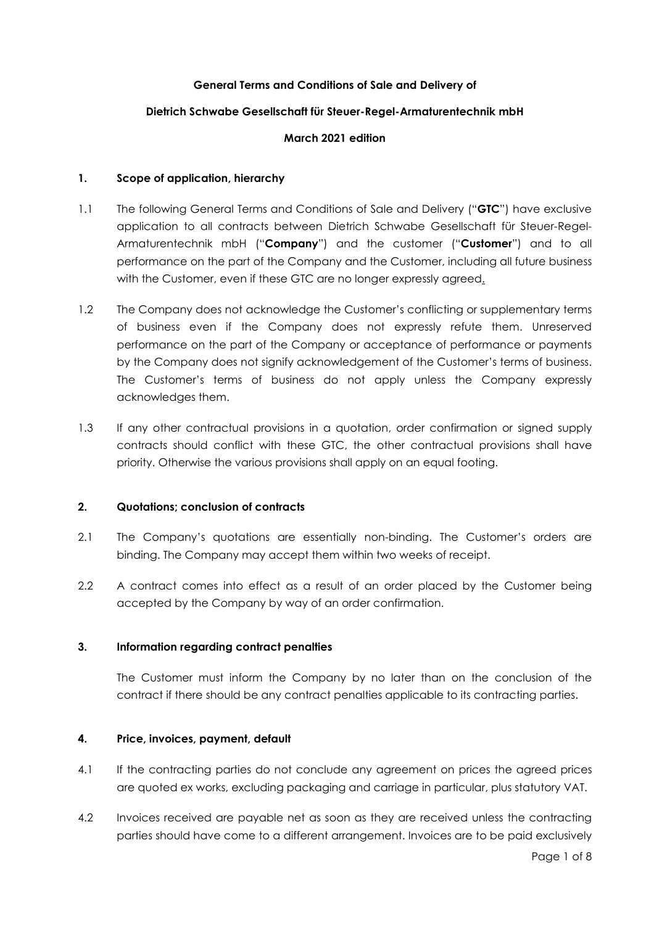# **General Terms and Conditions of Sale and Delivery of**

## **Dietrich Schwabe Gesellschaft für Steuer-Regel-Armaturentechnik mbH**

### **March 2021 edition**

### **1. Scope of application, hierarchy**

- 1.1 The following General Terms and Conditions of Sale and Delivery ("**GTC**") have exclusive application to all contracts between Dietrich Schwabe Gesellschaft für Steuer-Regel-Armaturentechnik mbH ("**Company**") and the customer ("**Customer**") and to all performance on the part of the Company and the Customer, including all future business with the Customer, even if these GTC are no longer expressly agreed.
- 1.2 The Company does not acknowledge the Customer's conflicting or supplementary terms of business even if the Company does not expressly refute them. Unreserved performance on the part of the Company or acceptance of performance or payments by the Company does not signify acknowledgement of the Customer's terms of business. The Customer's terms of business do not apply unless the Company expressly acknowledges them.
- 1.3 If any other contractual provisions in a quotation, order confirmation or signed supply contracts should conflict with these GTC, the other contractual provisions shall have priority. Otherwise the various provisions shall apply on an equal footing.

### **2. Quotations; conclusion of contracts**

- 2.1 The Company's quotations are essentially non-binding. The Customer's orders are binding. The Company may accept them within two weeks of receipt.
- 2.2 A contract comes into effect as a result of an order placed by the Customer being accepted by the Company by way of an order confirmation.

### **3. Information regarding contract penalties**

The Customer must inform the Company by no later than on the conclusion of the contract if there should be any contract penalties applicable to its contracting parties.

### **4. Price, invoices, payment, default**

- 4.1 If the contracting parties do not conclude any agreement on prices the agreed prices are quoted ex works, excluding packaging and carriage in particular, plus statutory VAT.
- 4.2 Invoices received are payable net as soon as they are received unless the contracting parties should have come to a different arrangement. Invoices are to be paid exclusively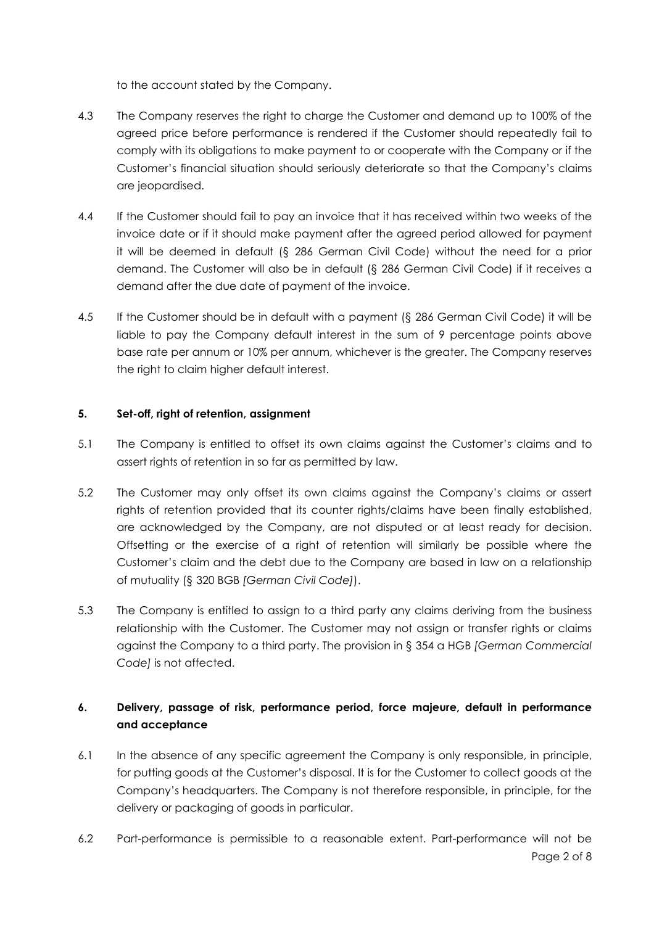to the account stated by the Company.

- 4.3 The Company reserves the right to charge the Customer and demand up to 100% of the agreed price before performance is rendered if the Customer should repeatedly fail to comply with its obligations to make payment to or cooperate with the Company or if the Customer's financial situation should seriously deteriorate so that the Company's claims are jeopardised.
- 4.4 If the Customer should fail to pay an invoice that it has received within two weeks of the invoice date or if it should make payment after the agreed period allowed for payment it will be deemed in default (§ 286 German Civil Code) without the need for a prior demand. The Customer will also be in default (§ 286 German Civil Code) if it receives a demand after the due date of payment of the invoice.
- 4.5 If the Customer should be in default with a payment (§ 286 German Civil Code) it will be liable to pay the Company default interest in the sum of 9 percentage points above base rate per annum or 10% per annum, whichever is the greater. The Company reserves the right to claim higher default interest.

# **5. Set-off, right of retention, assignment**

- 5.1 The Company is entitled to offset its own claims against the Customer's claims and to assert rights of retention in so far as permitted by law.
- 5.2 The Customer may only offset its own claims against the Company's claims or assert rights of retention provided that its counter rights/claims have been finally established, are acknowledged by the Company, are not disputed or at least ready for decision. Offsetting or the exercise of a right of retention will similarly be possible where the Customer's claim and the debt due to the Company are based in law on a relationship of mutuality (§ 320 BGB *[German Civil Code]*).
- 5.3 The Company is entitled to assign to a third party any claims deriving from the business relationship with the Customer. The Customer may not assign or transfer rights or claims against the Company to a third party. The provision in § 354 a HGB *[German Commercial Code]* is not affected.

# **6. Delivery, passage of risk, performance period, force majeure, default in performance and acceptance**

- 6.1 In the absence of any specific agreement the Company is only responsible, in principle, for putting goods at the Customer's disposal. It is for the Customer to collect goods at the Company's headquarters. The Company is not therefore responsible, in principle, for the delivery or packaging of goods in particular.
- Page 2 of 8 6.2 Part-performance is permissible to a reasonable extent. Part-performance will not be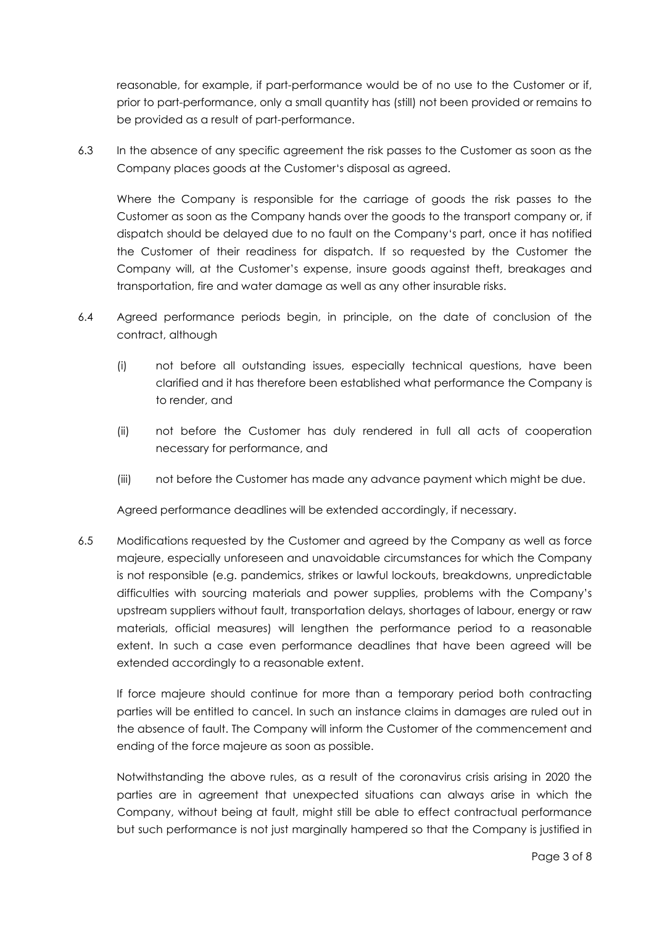reasonable, for example, if part-performance would be of no use to the Customer or if, prior to part-performance, only a small quantity has (still) not been provided or remains to be provided as a result of part-performance.

6.3 In the absence of any specific agreement the risk passes to the Customer as soon as the Company places goods at the Customer's disposal as agreed.

Where the Company is responsible for the carriage of goods the risk passes to the Customer as soon as the Company hands over the goods to the transport company or, if dispatch should be delayed due to no fault on the Company's part, once it has notified the Customer of their readiness for dispatch. If so requested by the Customer the Company will, at the Customer's expense, insure goods against theft, breakages and transportation, fire and water damage as well as any other insurable risks.

- 6.4 Agreed performance periods begin, in principle, on the date of conclusion of the contract, although
	- (i) not before all outstanding issues, especially technical questions, have been clarified and it has therefore been established what performance the Company is to render, and
	- (ii) not before the Customer has duly rendered in full all acts of cooperation necessary for performance, and
	- (iii) not before the Customer has made any advance payment which might be due.

Agreed performance deadlines will be extended accordingly, if necessary.

6.5 Modifications requested by the Customer and agreed by the Company as well as force majeure, especially unforeseen and unavoidable circumstances for which the Company is not responsible (e.g. pandemics, strikes or lawful lockouts, breakdowns, unpredictable difficulties with sourcing materials and power supplies, problems with the Company's upstream suppliers without fault, transportation delays, shortages of labour, energy or raw materials, official measures) will lengthen the performance period to a reasonable extent. In such a case even performance deadlines that have been agreed will be extended accordingly to a reasonable extent.

If force majeure should continue for more than a temporary period both contracting parties will be entitled to cancel. In such an instance claims in damages are ruled out in the absence of fault. The Company will inform the Customer of the commencement and ending of the force majeure as soon as possible.

Notwithstanding the above rules, as a result of the coronavirus crisis arising in 2020 the parties are in agreement that unexpected situations can always arise in which the Company, without being at fault, might still be able to effect contractual performance but such performance is not just marginally hampered so that the Company is justified in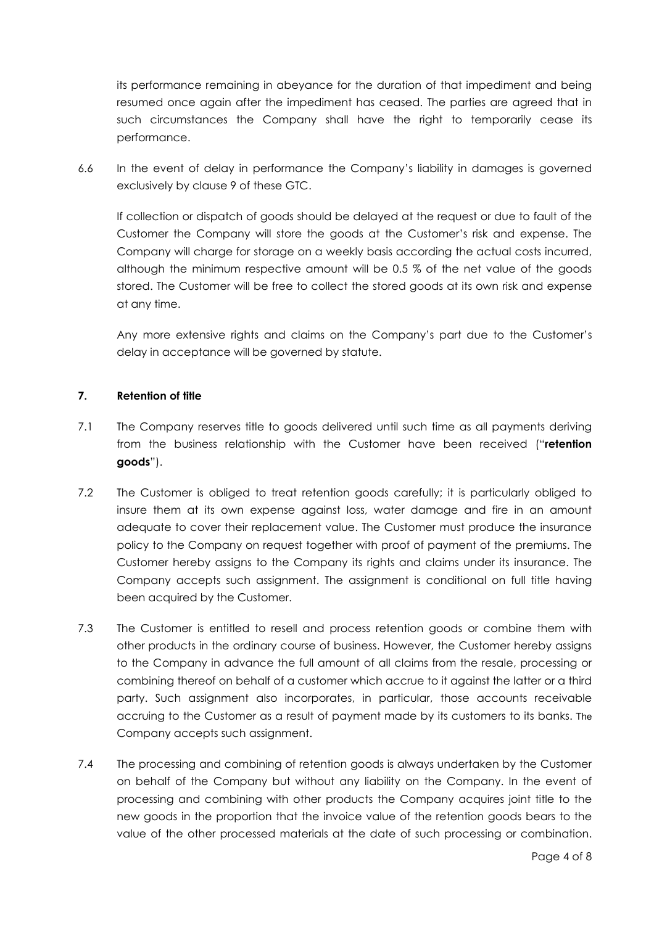its performance remaining in abeyance for the duration of that impediment and being resumed once again after the impediment has ceased. The parties are agreed that in such circumstances the Company shall have the right to temporarily cease its performance.

6.6 In the event of delay in performance the Company's liability in damages is governed exclusively by clause 9 of these GTC.

If collection or dispatch of goods should be delayed at the request or due to fault of the Customer the Company will store the goods at the Customer's risk and expense. The Company will charge for storage on a weekly basis according the actual costs incurred, although the minimum respective amount will be 0.5 % of the net value of the goods stored. The Customer will be free to collect the stored goods at its own risk and expense at any time.

Any more extensive rights and claims on the Company's part due to the Customer's delay in acceptance will be governed by statute.

# **7. Retention of title**

- 7.1 The Company reserves title to goods delivered until such time as all payments deriving from the business relationship with the Customer have been received ("**retention goods**").
- 7.2 The Customer is obliged to treat retention goods carefully; it is particularly obliged to insure them at its own expense against loss, water damage and fire in an amount adequate to cover their replacement value. The Customer must produce the insurance policy to the Company on request together with proof of payment of the premiums. The Customer hereby assigns to the Company its rights and claims under its insurance. The Company accepts such assignment. The assignment is conditional on full title having been acquired by the Customer.
- 7.3 The Customer is entitled to resell and process retention goods or combine them with other products in the ordinary course of business. However, the Customer hereby assigns to the Company in advance the full amount of all claims from the resale, processing or combining thereof on behalf of a customer which accrue to it against the latter or a third party. Such assignment also incorporates, in particular, those accounts receivable accruing to the Customer as a result of payment made by its customers to its banks. The Company accepts such assignment.
- 7.4 The processing and combining of retention goods is always undertaken by the Customer on behalf of the Company but without any liability on the Company. In the event of processing and combining with other products the Company acquires joint title to the new goods in the proportion that the invoice value of the retention goods bears to the value of the other processed materials at the date of such processing or combination.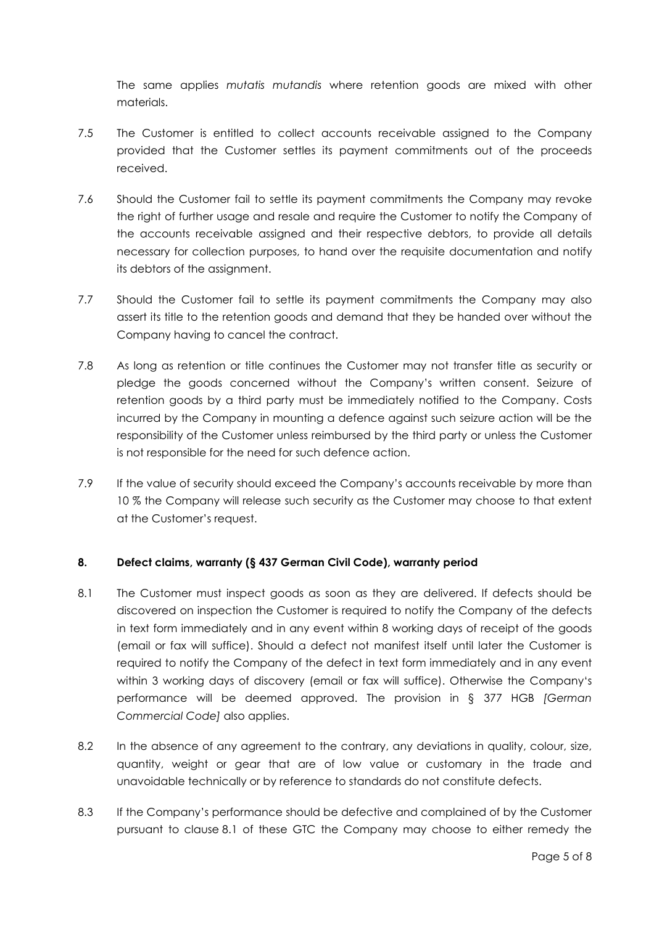The same applies *mutatis mutandis* where retention goods are mixed with other materials.

- 7.5 The Customer is entitled to collect accounts receivable assigned to the Company provided that the Customer settles its payment commitments out of the proceeds received.
- 7.6 Should the Customer fail to settle its payment commitments the Company may revoke the right of further usage and resale and require the Customer to notify the Company of the accounts receivable assigned and their respective debtors, to provide all details necessary for collection purposes, to hand over the requisite documentation and notify its debtors of the assignment.
- 7.7 Should the Customer fail to settle its payment commitments the Company may also assert its title to the retention goods and demand that they be handed over without the Company having to cancel the contract.
- 7.8 As long as retention or title continues the Customer may not transfer title as security or pledge the goods concerned without the Company's written consent. Seizure of retention goods by a third party must be immediately notified to the Company. Costs incurred by the Company in mounting a defence against such seizure action will be the responsibility of the Customer unless reimbursed by the third party or unless the Customer is not responsible for the need for such defence action.
- 7.9 If the value of security should exceed the Company's accounts receivable by more than 10 % the Company will release such security as the Customer may choose to that extent at the Customer's request.

# **8. Defect claims, warranty (§ 437 German Civil Code), warranty period**

- 8.1 The Customer must inspect goods as soon as they are delivered. If defects should be discovered on inspection the Customer is required to notify the Company of the defects in text form immediately and in any event within 8 working days of receipt of the goods (email or fax will suffice). Should a defect not manifest itself until later the Customer is required to notify the Company of the defect in text form immediately and in any event within 3 working days of discovery (email or fax will suffice). Otherwise the Company's performance will be deemed approved. The provision in § 377 HGB *[German Commercial Code]* also applies.
- 8.2 In the absence of any agreement to the contrary, any deviations in quality, colour, size, quantity, weight or gear that are of low value or customary in the trade and unavoidable technically or by reference to standards do not constitute defects.
- 8.3 If the Company's performance should be defective and complained of by the Customer pursuant to clause 8.1 of these GTC the Company may choose to either remedy the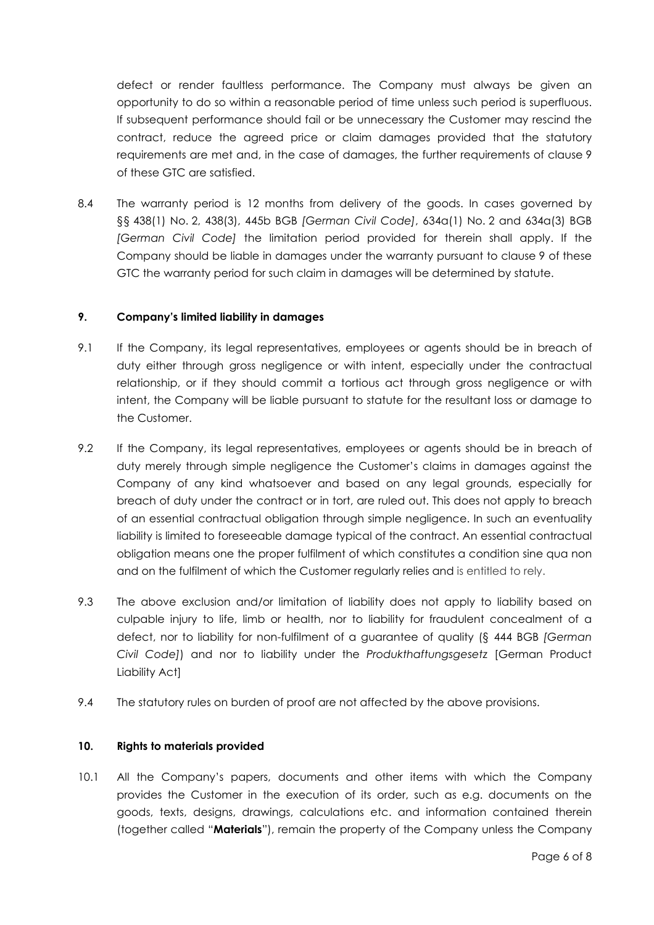defect or render faultless performance. The Company must always be given an opportunity to do so within a reasonable period of time unless such period is superfluous. If subsequent performance should fail or be unnecessary the Customer may rescind the contract, reduce the agreed price or claim damages provided that the statutory requirements are met and, in the case of damages, the further requirements of clause 9 of these GTC are satisfied.

8.4 The warranty period is 12 months from delivery of the goods. In cases governed by §§ 438(1) No. 2, 438(3), 445b BGB *[German Civil Code]*, 634a(1) No. 2 and 634a(3) BGB *[German Civil Code]* the limitation period provided for therein shall apply. If the Company should be liable in damages under the warranty pursuant to clause 9 of these GTC the warranty period for such claim in damages will be determined by statute.

## **9. Company's limited liability in damages**

- 9.1 If the Company, its legal representatives, employees or agents should be in breach of duty either through gross negligence or with intent, especially under the contractual relationship, or if they should commit a tortious act through gross negligence or with intent, the Company will be liable pursuant to statute for the resultant loss or damage to the Customer.
- 9.2 If the Company, its legal representatives, employees or agents should be in breach of duty merely through simple negligence the Customer's claims in damages against the Company of any kind whatsoever and based on any legal grounds, especially for breach of duty under the contract or in tort, are ruled out. This does not apply to breach of an essential contractual obligation through simple negligence. In such an eventuality liability is limited to foreseeable damage typical of the contract. An essential contractual obligation means one the proper fulfilment of which constitutes a condition sine qua non and on the fulfilment of which the Customer regularly relies and is entitled to rely.
- 9.3 The above exclusion and/or limitation of liability does not apply to liability based on culpable injury to life, limb or health, nor to liability for fraudulent concealment of a defect, nor to liability for non-fulfilment of a guarantee of quality (§ 444 BGB *[German Civil Code]*) and nor to liability under the *Produkthaftungsgesetz* [German Product Liability Act]
- 9.4 The statutory rules on burden of proof are not affected by the above provisions.

# **10. Rights to materials provided**

10.1 All the Company's papers, documents and other items with which the Company provides the Customer in the execution of its order, such as e.g. documents on the goods, texts, designs, drawings, calculations etc. and information contained therein (together called "**Materials**"), remain the property of the Company unless the Company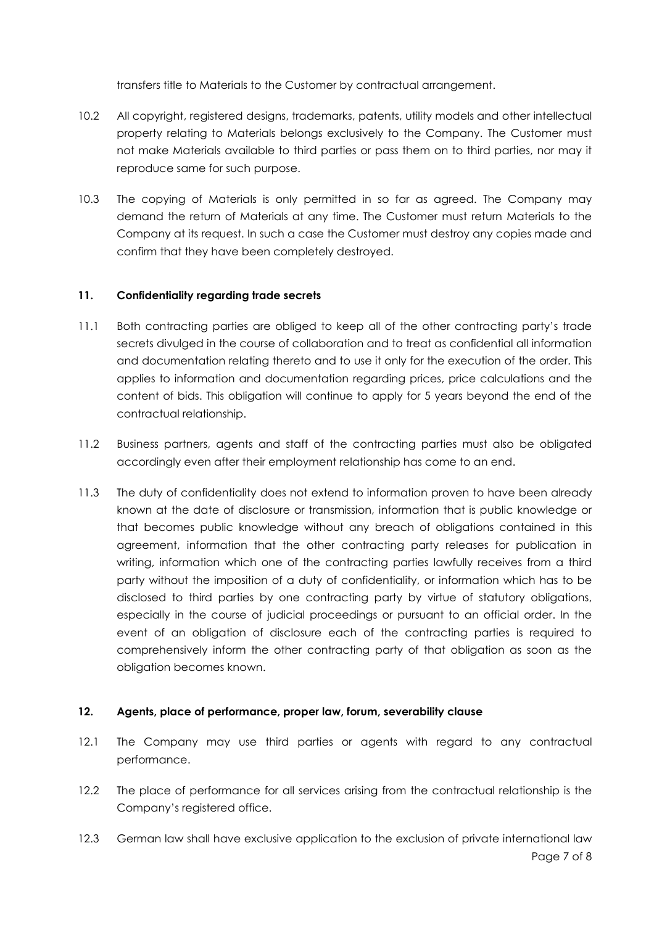transfers title to Materials to the Customer by contractual arrangement.

- 10.2 All copyright, registered designs, trademarks, patents, utility models and other intellectual property relating to Materials belongs exclusively to the Company. The Customer must not make Materials available to third parties or pass them on to third parties, nor may it reproduce same for such purpose.
- 10.3 The copying of Materials is only permitted in so far as agreed. The Company may demand the return of Materials at any time. The Customer must return Materials to the Company at its request. In such a case the Customer must destroy any copies made and confirm that they have been completely destroyed.

## **11. Confidentiality regarding trade secrets**

- 11.1 Both contracting parties are obliged to keep all of the other contracting party's trade secrets divulged in the course of collaboration and to treat as confidential all information and documentation relating thereto and to use it only for the execution of the order. This applies to information and documentation regarding prices, price calculations and the content of bids. This obligation will continue to apply for 5 years beyond the end of the contractual relationship.
- 11.2 Business partners, agents and staff of the contracting parties must also be obligated accordingly even after their employment relationship has come to an end.
- 11.3 The duty of confidentiality does not extend to information proven to have been already known at the date of disclosure or transmission, information that is public knowledge or that becomes public knowledge without any breach of obligations contained in this agreement, information that the other contracting party releases for publication in writing, information which one of the contracting parties lawfully receives from a third party without the imposition of a duty of confidentiality, or information which has to be disclosed to third parties by one contracting party by virtue of statutory obligations, especially in the course of judicial proceedings or pursuant to an official order. In the event of an obligation of disclosure each of the contracting parties is required to comprehensively inform the other contracting party of that obligation as soon as the obligation becomes known.

### **12. Agents, place of performance, proper law, forum, severability clause**

- 12.1 The Company may use third parties or agents with regard to any contractual performance.
- 12.2 The place of performance for all services arising from the contractual relationship is the Company's registered office.
- 12.3 German law shall have exclusive application to the exclusion of private international law